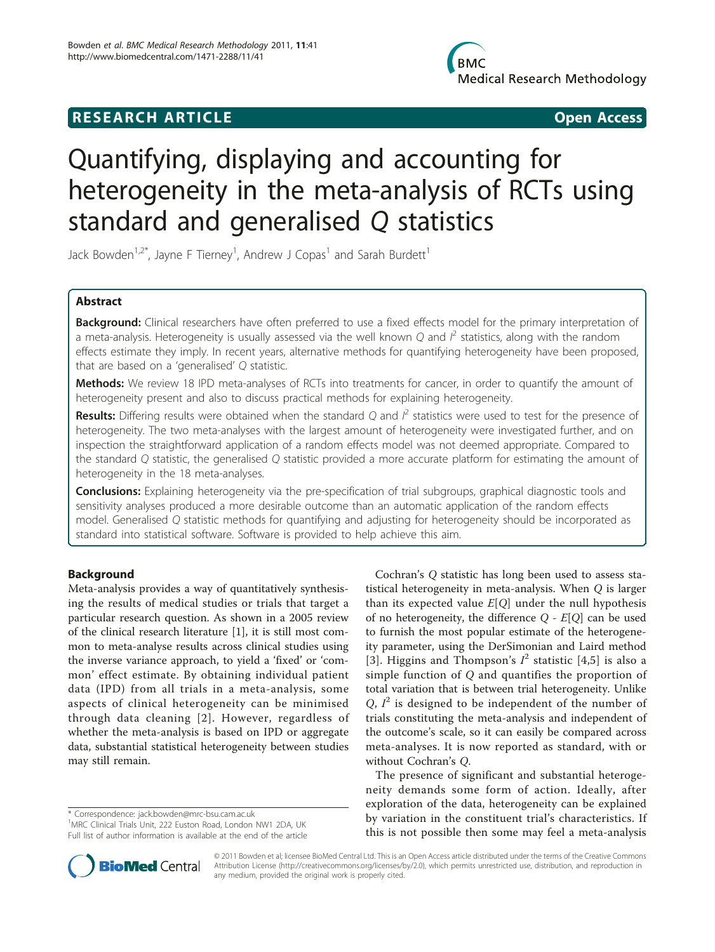# **RESEARCH ARTICLE Example 2018 CONSIDERING ACCESS**

# Quantifying, displaying and accounting for heterogeneity in the meta-analysis of RCTs using standard and generalised Q statistics

Jack Bowden<sup>1,2\*</sup>, Jayne F Tierney<sup>1</sup>, Andrew J Copas<sup>1</sup> and Sarah Burdett<sup>1</sup>

## Abstract

Background: Clinical researchers have often preferred to use a fixed effects model for the primary interpretation of a meta-analysis. Heterogeneity is usually assessed via the well known Q and  $l^2$  statistics, along with the random effects estimate they imply. In recent years, alternative methods for quantifying heterogeneity have been proposed, that are based on a 'generalised' Q statistic.

Methods: We review 18 IPD meta-analyses of RCTs into treatments for cancer, in order to quantify the amount of heterogeneity present and also to discuss practical methods for explaining heterogeneity.

**Results:** Differing results were obtained when the standard Q and  $l^2$  statistics were used to test for the presence of heterogeneity. The two meta-analyses with the largest amount of heterogeneity were investigated further, and on inspection the straightforward application of a random effects model was not deemed appropriate. Compared to the standard Q statistic, the generalised Q statistic provided a more accurate platform for estimating the amount of heterogeneity in the 18 meta-analyses.

Conclusions: Explaining heterogeneity via the pre-specification of trial subgroups, graphical diagnostic tools and sensitivity analyses produced a more desirable outcome than an automatic application of the random effects model. Generalised Q statistic methods for quantifying and adjusting for heterogeneity should be incorporated as standard into statistical software. Software is provided to help achieve this aim.

## Background

Meta-analysis provides a way of quantitatively synthesising the results of medical studies or trials that target a particular research question. As shown in a 2005 review of the clinical research literature [\[1](#page-10-0)], it is still most common to meta-analyse results across clinical studies using the inverse variance approach, to yield a 'fixed' or 'common' effect estimate. By obtaining individual patient data (IPD) from all trials in a meta-analysis, some aspects of clinical heterogeneity can be minimised through data cleaning [[2](#page-10-0)]. However, regardless of whether the meta-analysis is based on IPD or aggregate data, substantial statistical heterogeneity between studies may still remain.

\* Correspondence: [jack.bowden@mrc-bsu.cam.ac.uk](mailto:jack.bowden@mrc-bsu.cam.ac.uk)

<sup>1</sup>MRC Clinical Trials Unit, 222 Euston Road, London NW1 2DA, UK Full list of author information is available at the end of the article



The presence of significant and substantial heterogeneity demands some form of action. Ideally, after exploration of the data, heterogeneity can be explained by variation in the constituent trial's characteristics. If this is not possible then some may feel a meta-analysis



© 2011 Bowden et al; licensee BioMed Central Ltd. This is an Open Access article distributed under the terms of the Creative Commons Attribution License [\(http://creativecommons.org/licenses/by/2.0](http://creativecommons.org/licenses/by/2.0)), which permits unrestricted use, distribution, and reproduction in any medium, provided the original work is properly cited.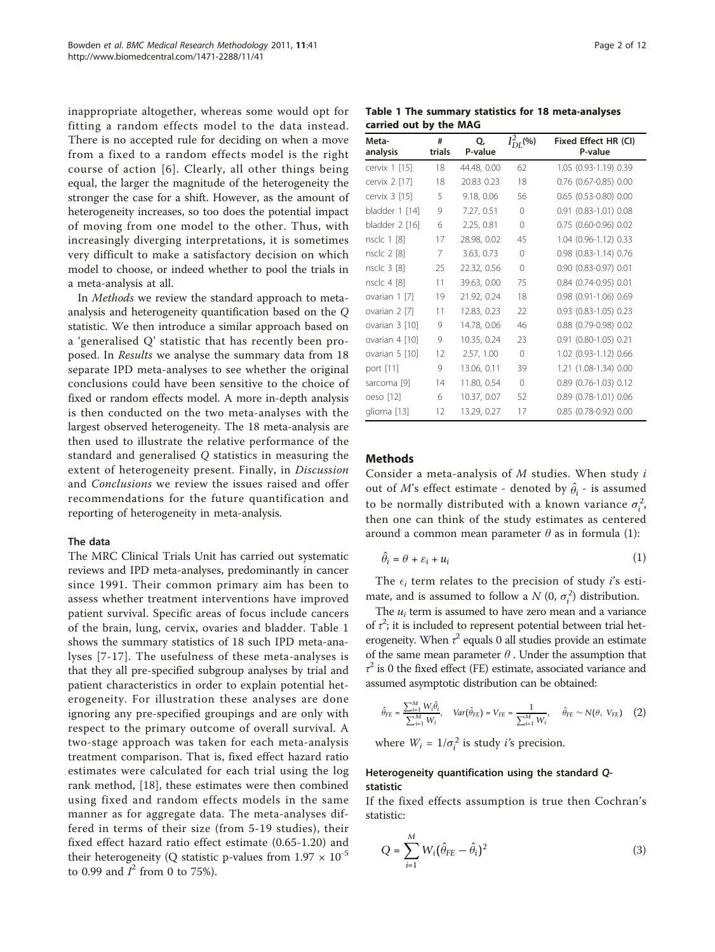<span id="page-1-0"></span>inappropriate altogether, whereas some would opt for fitting a random effects model to the data instead. There is no accepted rule for deciding on when a move from a fixed to a random effects model is the right course of action [[6\]](#page-10-0). Clearly, all other things being equal, the larger the magnitude of the heterogeneity the stronger the case for a shift. However, as the amount of heterogeneity increases, so too does the potential impact of moving from one model to the other. Thus, with increasingly diverging interpretations, it is sometimes very difficult to make a satisfactory decision on which model to choose, or indeed whether to pool the trials in a meta-analysis at all.

In Methods we review the standard approach to metaanalysis and heterogeneity quantification based on the Q statistic. We then introduce a similar approach based on a 'generalised Q' statistic that has recently been proposed. In Results we analyse the summary data from 18 separate IPD meta-analyses to see whether the original conclusions could have been sensitive to the choice of fixed or random effects model. A more in-depth analysis is then conducted on the two meta-analyses with the largest observed heterogeneity. The 18 meta-analysis are then used to illustrate the relative performance of the standard and generalised Q statistics in measuring the extent of heterogeneity present. Finally, in Discussion and Conclusions we review the issues raised and offer recommendations for the future quantification and reporting of heterogeneity in meta-analysis.

#### The data

The MRC Clinical Trials Unit has carried out systematic reviews and IPD meta-analyses, predominantly in cancer since 1991. Their common primary aim has been to assess whether treatment interventions have improved patient survival. Specific areas of focus include cancers of the brain, lung, cervix, ovaries and bladder. Table 1 shows the summary statistics of 18 such IPD meta-analyses [[7](#page-10-0)-[17](#page-10-0)]. The usefulness of these meta-analyses is that they all pre-specified subgroup analyses by trial and patient characteristics in order to explain potential heterogeneity. For illustration these analyses are done ignoring any pre-specified groupings and are only with respect to the primary outcome of overall survival. A two-stage approach was taken for each meta-analysis treatment comparison. That is, fixed effect hazard ratio estimates were calculated for each trial using the log rank method, [\[18](#page-10-0)], these estimates were then combined using fixed and random effects models in the same manner as for aggregate data. The meta-analyses differed in terms of their size (from 5-19 studies), their fixed effect hazard ratio effect estimate (0.65-1.20) and their heterogeneity (Q statistic p-values from  $1.97 \times 10^{-5}$ to 0.99 and  $I^2$  from 0 to 75%).

Table 1 The summary statistics for 18 meta-analyses carried out by the MAG

| Meta-<br>analysis | #<br>trials | Q,<br>P-value | $I_{DI}^{2}$ (%) | Fixed Effect HR (CI)<br>P-value |
|-------------------|-------------|---------------|------------------|---------------------------------|
| cervix 1 [15]     | 18          | 44.48, 0.00   | 62               | 1.05 (0.93-1.19) 0.39           |
| cervix 2 [17]     | 18          | 20.83 0.23    | 18               | 0.76 (0.67-0.85) 0.00           |
| cervix 3 [15]     | 5           | 9.18, 0.06    | 56               | $0.65$ $(0.53 - 0.80)$ $0.00$   |
| bladder 1 [14]    | 9           | 7.27, 0.51    | $\Omega$         | 0.91 (0.83-1.01) 0.08           |
| bladder 2 [16]    | 6           | 2.25, 0.81    | $\Omega$         | 0.75 (0.60-0.96) 0.02           |
| nsclc 1 [8]       | 17          | 28.98, 0.02   | 45               | 1.04 (0.96-1.12) 0.33           |
| nsclc 2 [8]       | 7           | 3.63, 0.73    | $\Omega$         | 0.98 (0.83-1.14) 0.76           |
| nsclc 3 [8]       | 25          | 22.32, 0.56   | $\bigcap$        | 0.90 (0.83-0.97) 0.01           |
| nsclc 4 [8]       | 11          | 39.63, 0.00   | 75               | 0.84 (0.74-0.95) 0.01           |
| ovarian 1 [7]     | 19          | 21.92, 0.24   | 18               | 0.98 (0.91-1.06) 0.69           |
| ovarian 2 [7]     | 11          | 12.83, 0.23   | 22               | $0.93$ $(0.83 - 1.05)$ $0.23$   |
| ovarian 3 [10]    | 9           | 14.78, 0.06   | 46               | 0.88 (0.79-0.98) 0.02           |
| ovarian 4 [10]    | 9           | 10.35, 0.24   | 23               | $0.91$ $(0.80 - 1.05)$ $0.21$   |
| ovarian 5 [10]    | 12          | 2.57, 1.00    | $\bigcap$        | 1.02 (0.93-1.12) 0.66           |
| port [11]         | 9           | 13.06, 0.11   | 39               | 1.21 (1.08-1.34) 0.00           |
| sarcoma [9]       | 14          | 11.80, 0.54   | $\bigcap$        | $0.89$ $(0.76 - 1.03)$ $0.12$   |
| oeso [12]         | 6           | 10.37, 0.07   | 52               | 0.89 (0.78-1.01) 0.06           |
| glioma [13]       | 12          | 13.29, 0.27   | 17               | 0.85 (0.78-0.92) 0.00           |

## Methods

Consider a meta-analysis of M studies. When study i out of *M*'s effect estimate - denoted by  $\hat{\theta}_i$  - is assumed to be normally distributed with a known variance  $\sigma_i^2$ , then one can think of the study estimates as centered around a common mean parameter  $\theta$  as in formula (1):

$$
\hat{\theta}_i = \theta + \varepsilon_i + u_i \tag{1}
$$

The  $\epsilon_i$  term relates to the precision of study *i*'s estimate, and is assumed to follow a  $N$  (0,  $\sigma_i^2$ ) distribution.

The  $u_i$  term is assumed to have zero mean and a variance of  $\tau^2$ ; it is included to represent potential between trial heterogeneity. When  $\tau^2$  equals 0 all studies provide an estimate of the same mean parameter  $\theta$ . Under the assumption that  $\tau^2$  is 0 the fixed effect (FE) estimate, associated variance and assumed asymptotic distribution can be obtained:

$$
\hat{\theta}_{FE} = \frac{\sum_{i=1}^{M} W_i \hat{\theta}_i}{\sum_{i=1}^{M} W_i}, \quad Var\big(\hat{\theta}_{FE}\big) = V_{FE} = \frac{1}{\sum_{i=1}^{M} W_i}, \quad \hat{\theta}_{FE} \sim N\big(\theta, \; V_{FE}\big) \eqno{(2)}
$$

where  $W_i = 1/\sigma_i^2$  is study *i*'s precision.

## Heterogeneity quantification using the standard Qstatistic

If the fixed effects assumption is true then Cochran's statistic:

$$
Q = \sum_{i=1}^{M} W_i (\hat{\theta}_{FE} - \hat{\theta}_i)^2
$$
 (3)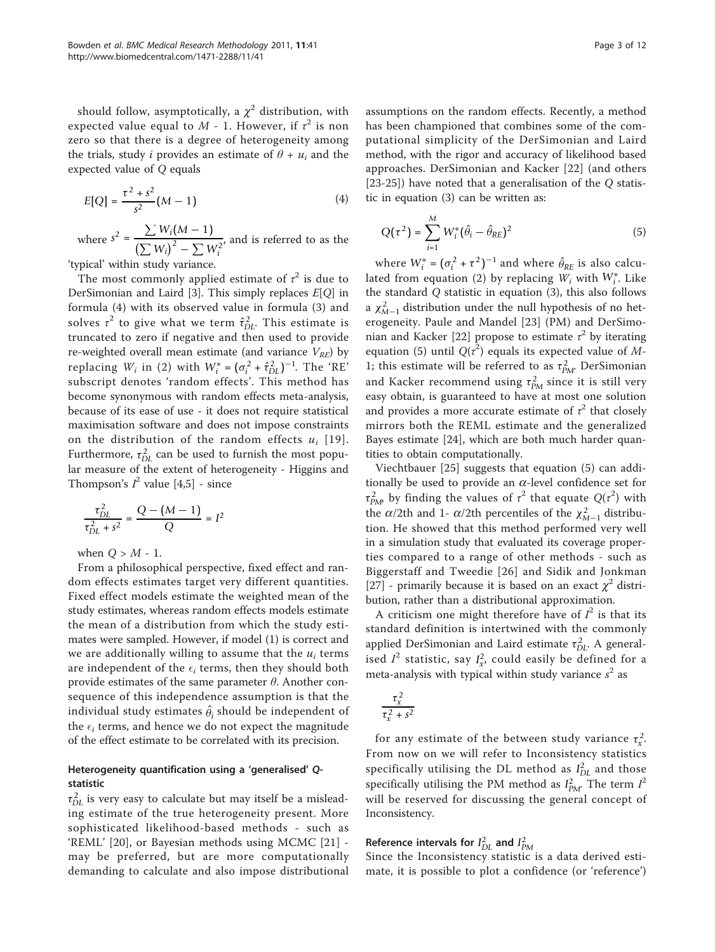should follow, asymptotically, a  $\chi^2$  distribution, with expected value equal to  $M$  - 1. However, if  $\tau^2$  is non zero so that there is a degree of heterogeneity among the trials, study *i* provides an estimate of  $\theta + u_i$  and the expected value of Q equals

$$
E[Q] = \frac{\tau^2 + s^2}{s^2} (M - 1) \tag{4}
$$

where  $s^2 = \frac{\sum W_i (M-1)}{(\sum W_i)^2}$  $(\sum W_i)^2 - \sum W_i^2$ , and is referred to as the 'typical' within study variance.

The most commonly applied estimate of  $\tau^2$  is due to DerSimonian and Laird [[3\]](#page-10-0). This simply replaces  $E[Q]$  in formula (4) with its observed value in formula (3) and solves  $\tau^2$  to give what we term  $\hat{\tau}_{DL}^2$ . This estimate is truncated to zero if negative and then used to provide re-weighted overall mean estimate (and variance  $V_{RE}$ ) by replacing  $W_i$  in (2) with  $W_i^* = (\sigma_i^2 + \hat{\tau}_{DL}^2)^{-1}$ . The 'RE' subscript denotes 'random effects'. This method has become synonymous with random effects meta-analysis, because of its ease of use - it does not require statistical maximisation software and does not impose constraints on the distribution of the random effects  $u_i$  [[19\]](#page-10-0). Furthermore,  $\tau_{DL}^2$  can be used to furnish the most popular measure of the extent of heterogeneity - Higgins and Thompson's  $I^2$  value [[4,5\]](#page-10-0) - since

$$
\frac{\tau_{DL}^2}{\tau_{DL}^2 + s^2} = \frac{Q - (M - 1)}{Q} = I^2
$$

when  $Q > M - 1$ .

From a philosophical perspective, fixed effect and random effects estimates target very different quantities. Fixed effect models estimate the weighted mean of the study estimates, whereas random effects models estimate the mean of a distribution from which the study estimates were sampled. However, if model (1) is correct and we are additionally willing to assume that the  $u_i$  terms are independent of the  $\epsilon_i$  terms, then they should both provide estimates of the same parameter  $\theta$ . Another consequence of this independence assumption is that the individual study estimates  $\hat{\theta}_i$  should be independent of the  $\epsilon_i$  terms, and hence we do not expect the magnitude of the effect estimate to be correlated with its precision.

## Heterogeneity quantification using a 'generalised' Qstatistic

 $\tau_{DL}^2$  is very easy to calculate but may itself be a misleading estimate of the true heterogeneity present. More sophisticated likelihood-based methods - such as 'REML' [\[20](#page-10-0)], or Bayesian methods using MCMC [[21](#page-11-0)] may be preferred, but are more computationally demanding to calculate and also impose distributional

assumptions on the random effects. Recently, a method has been championed that combines some of the computational simplicity of the DerSimonian and Laird method, with the rigor and accuracy of likelihood based approaches. DerSimonian and Kacker [[22](#page-11-0)] (and others [[23-25](#page-11-0)]) have noted that a generalisation of the Q statistic in equation (3) can be written as:

$$
Q(\tau^2) = \sum_{i=1}^{M} W_i^* (\hat{\theta}_i - \hat{\theta}_{RE})^2
$$
 (5)

where  $W_i^* = (\sigma_i^2 + \tau^2)^{-1}$  and where  $\hat{\theta}_{RE}$  is also calculated from equation (2) by replacing  $W_i$  with  $W_i^*$ . Like the standard Q statistic in equation (3), this also follows a  $\chi^2_{M-1}$  distribution under the null hypothesis of no heterogeneity. Paule and Mandel [[23\]](#page-11-0) (PM) and DerSimo-nian and Kacker [\[22](#page-11-0)] propose to estimate  $\tau^2$  by iterating equation (5) until  $Q(\tau^2)$  equals its expected value of M-1; this estimate will be referred to as  $\tau_{PM}^2$ . DerSimonian and Kacker recommend using  $\tau_{PM}^2$  since it is still very easy obtain, is guaranteed to have at most one solution and provides a more accurate estimate of  $\tau^2$  that closely mirrors both the REML estimate and the generalized Bayes estimate [\[24](#page-11-0)], which are both much harder quantities to obtain computationally.

Viechtbauer [[25](#page-11-0)] suggests that equation (5) can additionally be used to provide an  $\alpha$ -level confidence set for  $\tau_{P\!M}^2$  by finding the values of  $\tau^2$  that equate  $Q(\tau^2)$  with the  $\alpha/2$ th and 1-  $\alpha/2$ th percentiles of the  $\chi^2_{M-1}$  distribution. He showed that this method performed very well in a simulation study that evaluated its coverage properties compared to a range of other methods - such as Biggerstaff and Tweedie [[26](#page-11-0)] and Sidik and Jonkman [[27\]](#page-11-0) - primarily because it is based on an exact  $\chi^2$  distribution, rather than a distributional approximation.

A criticism one might therefore have of  $I^2$  is that its standard definition is intertwined with the commonly applied DerSimonian and Laird estimate  $\tau_{DL}^2$ . A generalised  $I^2$  statistic, say  $I^2_{x}$ , could easily be defined for a meta-analysis with typical within study variance  $s^2$  as

$$
\frac{\tau_x^2}{\tau_x^2+s^2}
$$

for any estimate of the between study variance  $\tau_x^2$ . From now on we will refer to Inconsistency statistics specifically utilising the DL method as  $I_{DL}^2$  and those specifically utilising the PM method as  $I_{PM}^2$ . The term  $I^2$ will be reserved for discussing the general concept of Inconsistency.

## Reference intervals for  $I_{DL}^2$  and  $I_{PM}^2$

Since the Inconsistency statistic is a data derived estimate, it is possible to plot a confidence (or 'reference')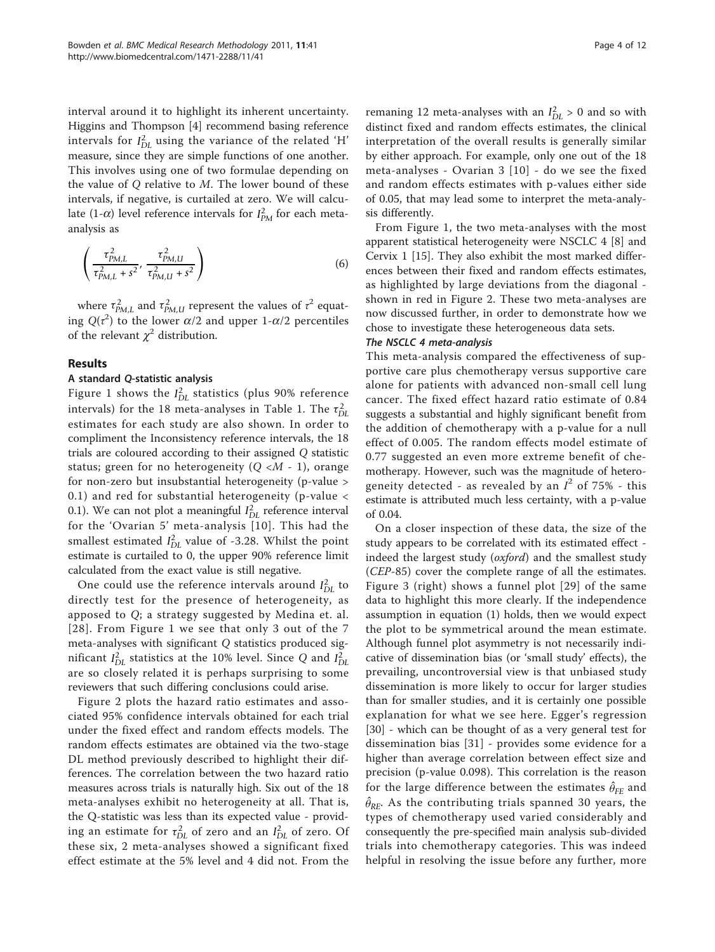interval around it to highlight its inherent uncertainty. Higgins and Thompson [\[4](#page-10-0)] recommend basing reference intervals for  $I_{DL}^2$  using the variance of the related 'H' measure, since they are simple functions of one another. This involves using one of two formulae depending on the value of  $O$  relative to  $M$ . The lower bound of these intervals, if negative, is curtailed at zero. We will calculate  $(1-\alpha)$  level reference intervals for  $I_{PM}^2$  for each metaanalysis as

$$
\left(\frac{\tau_{PM,L}^2}{\tau_{PM,L}^2 + s^2}, \frac{\tau_{PM,U}^2}{\tau_{PM,U}^2 + s^2}\right) \tag{6}
$$

where  $\tau_{PM,L}^2$  and  $\tau_{PM,U}^2$  represent the values of  $\tau^2$  equating  $Q(\tau^2)$  to the lower  $\alpha/2$  and upper 1- $\alpha/2$  percentiles of the relevant  $\chi^2$  distribution.

## Results

## A standard Q-statistic analysis

Figure [1](#page-4-0) shows the  $I_{DL}^2$  statistics (plus 90% reference intervals) for the [1](#page-1-0)8 meta-analyses in Table 1. The  $\tau_{DL}^2$ estimates for each study are also shown. In order to compliment the Inconsistency reference intervals, the 18 trials are coloured according to their assigned Q statistic status; green for no heterogeneity  $(Q \lt M - 1)$ , orange for non-zero but insubstantial heterogeneity (p-value > 0.1) and red for substantial heterogeneity (p-value < 0.1). We can not plot a meaningful  $I_{DL}^2$  reference interval for the 'Ovarian 5' meta-analysis [[10](#page-10-0)]. This had the smallest estimated  $I_{DL}^2$  value of -3.28. Whilst the point estimate is curtailed to 0, the upper 90% reference limit calculated from the exact value is still negative.

One could use the reference intervals around  $I_{DL}^2$  to directly test for the presence of heterogeneity, as apposed to Q; a strategy suggested by Medina et. al. [[28\]](#page-11-0). From Figure [1](#page-4-0) we see that only 3 out of the 7 meta-analyses with significant Q statistics produced significant  $I_{DL}^2$  statistics at the 10% level. Since Q and  $I_{DL}^2$ are so closely related it is perhaps surprising to some reviewers that such differing conclusions could arise.

Figure [2](#page-5-0) plots the hazard ratio estimates and associated 95% confidence intervals obtained for each trial under the fixed effect and random effects models. The random effects estimates are obtained via the two-stage DL method previously described to highlight their differences. The correlation between the two hazard ratio measures across trials is naturally high. Six out of the 18 meta-analyses exhibit no heterogeneity at all. That is, the Q-statistic was less than its expected value - providing an estimate for  $\tau_{DL}^2$  of zero and an  $I_{DL}^2$  of zero. Of these six, 2 meta-analyses showed a significant fixed effect estimate at the 5% level and 4 did not. From the

remaning 12 meta-analyses with an  $I_{DL}^2 > 0$  and so with distinct fixed and random effects estimates, the clinical interpretation of the overall results is generally similar by either approach. For example, only one out of the 18 meta-analyses - Ovarian 3 [[10](#page-10-0)] - do we see the fixed and random effects estimates with p-values either side of 0.05, that may lead some to interpret the meta-analysis differently.

From Figure [1](#page-4-0), the two meta-analyses with the most apparent statistical heterogeneity were NSCLC 4 [\[8](#page-10-0)] and Cervix 1 [\[15\]](#page-10-0). They also exhibit the most marked differences between their fixed and random effects estimates, as highlighted by large deviations from the diagonal shown in red in Figure [2.](#page-5-0) These two meta-analyses are now discussed further, in order to demonstrate how we chose to investigate these heterogeneous data sets.

#### The NSCLC 4 meta-analysis

This meta-analysis compared the effectiveness of supportive care plus chemotherapy versus supportive care alone for patients with advanced non-small cell lung cancer. The fixed effect hazard ratio estimate of 0.84 suggests a substantial and highly significant benefit from the addition of chemotherapy with a p-value for a null effect of 0.005. The random effects model estimate of 0.77 suggested an even more extreme benefit of chemotherapy. However, such was the magnitude of heterogeneity detected - as revealed by an  $I^2$  of 75% - this estimate is attributed much less certainty, with a p-value of 0.04.

On a closer inspection of these data, the size of the study appears to be correlated with its estimated effect indeed the largest study (oxford) and the smallest study (CEP-85) cover the complete range of all the estimates. Figure [3](#page-6-0) (right) shows a funnel plot [[29](#page-11-0)] of the same data to highlight this more clearly. If the independence assumption in equation (1) holds, then we would expect the plot to be symmetrical around the mean estimate. Although funnel plot asymmetry is not necessarily indicative of dissemination bias (or 'small study' effects), the prevailing, uncontroversial view is that unbiased study dissemination is more likely to occur for larger studies than for smaller studies, and it is certainly one possible explanation for what we see here. Egger's regression [[30\]](#page-11-0) - which can be thought of as a very general test for dissemination bias [[31](#page-11-0)] - provides some evidence for a higher than average correlation between effect size and precision (p-value 0.098). This correlation is the reason for the large difference between the estimates  $\hat{\theta}_{\text{FE}}$  and  $\hat{\theta}_{\textit{RE}}$ . As the contributing trials spanned 30 years, the types of chemotherapy used varied considerably and consequently the pre-specified main analysis sub-divided trials into chemotherapy categories. This was indeed helpful in resolving the issue before any further, more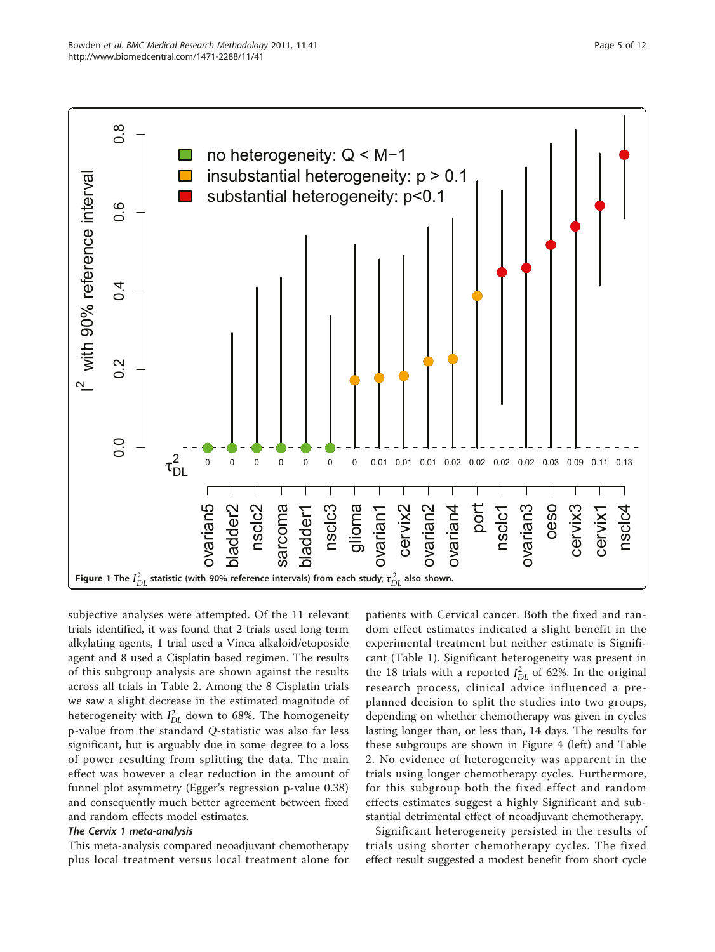<span id="page-4-0"></span>

subjective analyses were attempted. Of the 11 relevant trials identified, it was found that 2 trials used long term alkylating agents, 1 trial used a Vinca alkaloid/etoposide agent and 8 used a Cisplatin based regimen. The results of this subgroup analysis are shown against the results across all trials in Table [2.](#page-6-0) Among the 8 Cisplatin trials we saw a slight decrease in the estimated magnitude of heterogeneity with  $I_{DL}^2$  down to 68%. The homogeneity p-value from the standard Q-statistic was also far less significant, but is arguably due in some degree to a loss of power resulting from splitting the data. The main effect was however a clear reduction in the amount of funnel plot asymmetry (Egger's regression p-value 0.38) and consequently much better agreement between fixed and random effects model estimates.

#### The Cervix 1 meta-analysis

This meta-analysis compared neoadjuvant chemotherapy plus local treatment versus local treatment alone for

patients with Cervical cancer. Both the fixed and random effect estimates indicated a slight benefit in the experimental treatment but neither estimate is Significant (Table [1](#page-1-0)). Significant heterogeneity was present in the 18 trials with a reported  $I_{DL}^2$  of 62%. In the original research process, clinical advice influenced a preplanned decision to split the studies into two groups, depending on whether chemotherapy was given in cycles lasting longer than, or less than, 14 days. The results for these subgroups are shown in Figure [4](#page-7-0) (left) and Table [2.](#page-6-0) No evidence of heterogeneity was apparent in the trials using longer chemotherapy cycles. Furthermore, for this subgroup both the fixed effect and random effects estimates suggest a highly Significant and substantial detrimental effect of neoadjuvant chemotherapy.

Significant heterogeneity persisted in the results of trials using shorter chemotherapy cycles. The fixed effect result suggested a modest benefit from short cycle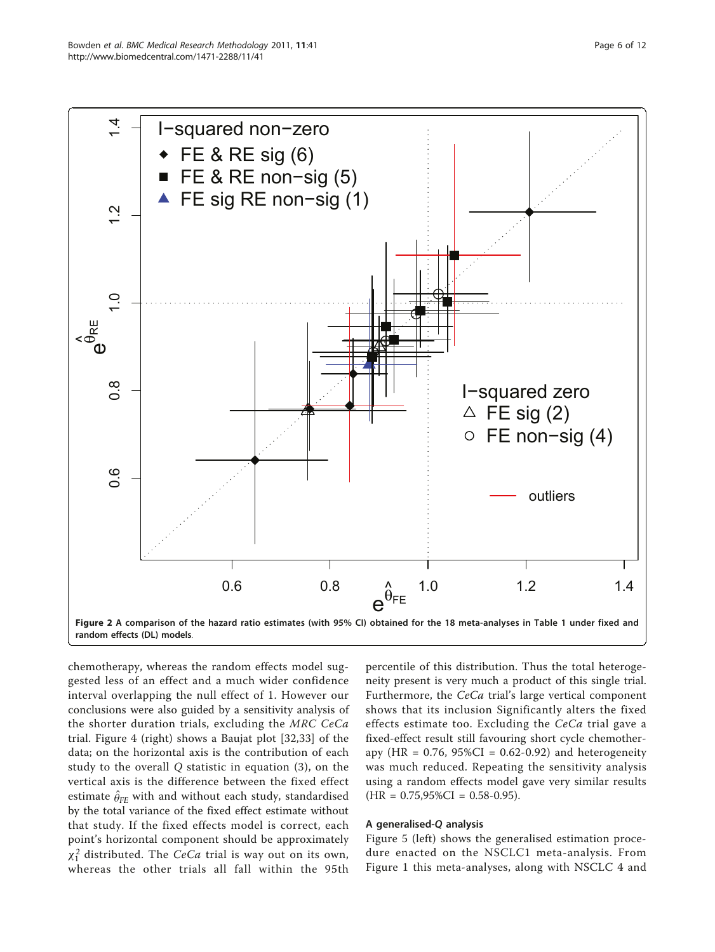<span id="page-5-0"></span>

chemotherapy, whereas the random effects model suggested less of an effect and a much wider confidence interval overlapping the null effect of 1. However our conclusions were also guided by a sensitivity analysis of the shorter duration trials, excluding the MRC CeCa trial. Figure [4](#page-7-0) (right) shows a Baujat plot [[32,33](#page-11-0)] of the data; on the horizontal axis is the contribution of each study to the overall Q statistic in equation (3), on the vertical axis is the difference between the fixed effect estimate  $\widehat{\theta}_{\texttt{FE}}$  with and without each study, standardised by the total variance of the fixed effect estimate without that study. If the fixed effects model is correct, each point's horizontal component should be approximately  $\chi_1^2$  distributed. The *CeCa* trial is way out on its own, whereas the other trials all fall within the 95th

percentile of this distribution. Thus the total heterogeneity present is very much a product of this single trial. Furthermore, the CeCa trial's large vertical component shows that its inclusion Significantly alters the fixed effects estimate too. Excluding the CeCa trial gave a fixed-effect result still favouring short cycle chemotherapy (HR =  $0.76$ ,  $95\%CI = 0.62 - 0.92$ ) and heterogeneity was much reduced. Repeating the sensitivity analysis using a random effects model gave very similar results  $(HR = 0.75,95\%CI = 0.58-0.95).$ 

#### A generalised-Q analysis

Figure [5](#page-7-0) (left) shows the generalised estimation procedure enacted on the NSCLC1 meta-analysis. From Figure [1](#page-4-0) this meta-analyses, along with NSCLC 4 and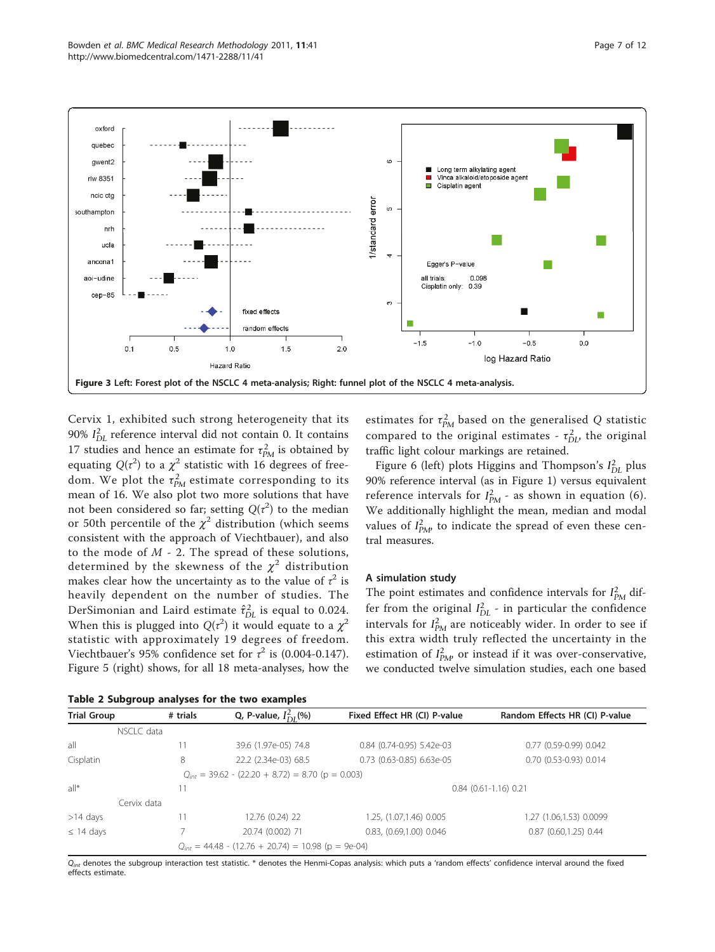<span id="page-6-0"></span>

Cervix 1, exhibited such strong heterogeneity that its 90% *I* 2 *DL* reference interval did not contain 0. It contains 17 studies and hence an estimate for  $\tau_{PM}^2$  is obtained by equating  $Q(\tau^2)$  to a  $\chi^2$  statistic with 16 degrees of freedom. We plot the  $\tau_{PM}^2$  estimate corresponding to its mean of 16. We also plot two more solutions that have not been considered so far; setting  $Q(\tau^2)$  to the median or 50th percentile of the  $\chi^2$  distribution (which seems consistent with the approach of Viechtbauer), and also to the mode of  $M$  - 2. The spread of these solutions, determined by the skewness of the  $\chi^2$  distribution makes clear how the uncertainty as to the value of  $\tau^2$  is heavily dependent on the number of studies. The DerSimonian and Laird estimate  $\hat{\tau}_{DL}^2$  is equal to 0.024. When this is plugged into  $Q(\tau^2)$  it would equate to a  $\chi^2$ statistic with approximately 19 degrees of freedom. Viechtbauer's 95% confidence set for  $\tau^2$  is (0.004-0.147). Figure [5](#page-7-0) (right) shows, for all 18 meta-analyses, how the

|  |  | Table 2 Subgroup analyses for the two examples |  |  |  |  |  |
|--|--|------------------------------------------------|--|--|--|--|--|
|--|--|------------------------------------------------|--|--|--|--|--|

estimates for  $\tau_{PM}^2$  based on the generalised Q statistic compared to the original estimates -  $\tau_{DL}^2$ , the original traffic light colour markings are retained.

Figure [6](#page-8-0) (left) plots Higgins and Thompson's *I*<sub>DL</sub> plus 90% reference interval (as in Figure [1\)](#page-4-0) versus equivalent reference intervals for  $I_{PM}^2$  - as shown in equation (6). We additionally highlight the mean, median and modal values of  $I_{PM}^2$  to indicate the spread of even these central measures.

#### A simulation study

The point estimates and confidence intervals for  $I_{PM}^2$  differ from the original  $I_{DL}^2$  - in particular the confidence intervals for  $I_{PM}^2$  are noticeably wider. In order to see if this extra width truly reflected the uncertainty in the estimation of  $I_{PM}^2$  or instead if it was over-conservative, we conducted twelve simulation studies, each one based

| <b>Trial Group</b> | # trials    | Q, P-value, $I_{DI}^2(\%)$                              | Fixed Effect HR (CI) P-value | Random Effects HR (CI) P-value |  |  |
|--------------------|-------------|---------------------------------------------------------|------------------------------|--------------------------------|--|--|
|                    | NSCLC data  |                                                         |                              |                                |  |  |
| all                |             | 39.6 (1.97e-05) 74.8                                    | 0.84 (0.74-0.95) 5.42e-03    | 0.77 (0.59-0.99) 0.042         |  |  |
| Cisplatin          | 8           | 22.2 (2.34e-03) 68.5                                    | 0.73 (0.63-0.85) 6.63e-05    | 0.70 (0.53-0.93) 0.014         |  |  |
|                    |             | $Q_{int} = 39.62 - (22.20 + 8.72) = 8.70$ (p = 0.003)   |                              |                                |  |  |
| $a  ^*$            |             | $0.84$ (0.61-1.16) 0.21                                 |                              |                                |  |  |
|                    | Cervix data |                                                         |                              |                                |  |  |
| $>14$ days         |             | 12.76 (0.24) 22                                         | 1.25, (1.07, 1.46) 0.005     | 1.27 (1.06,1.53) 0.0099        |  |  |
| $\leq$ 14 days     |             | 20.74 (0.002) 71                                        | 0.83, (0.69,1.00) 0.046      | $0.87$ $(0.60, 1.25)$ $0.44$   |  |  |
|                    |             | $Q_{int} = 44.48 - (12.76 + 20.74) = 10.98$ (p = 9e-04) |                              |                                |  |  |

 $Q_{int}$  denotes the subgroup interaction test statistic. \* denotes the Henmi-Copas analysis: which puts a 'random effects' confidence interval around the fixed effects estimate.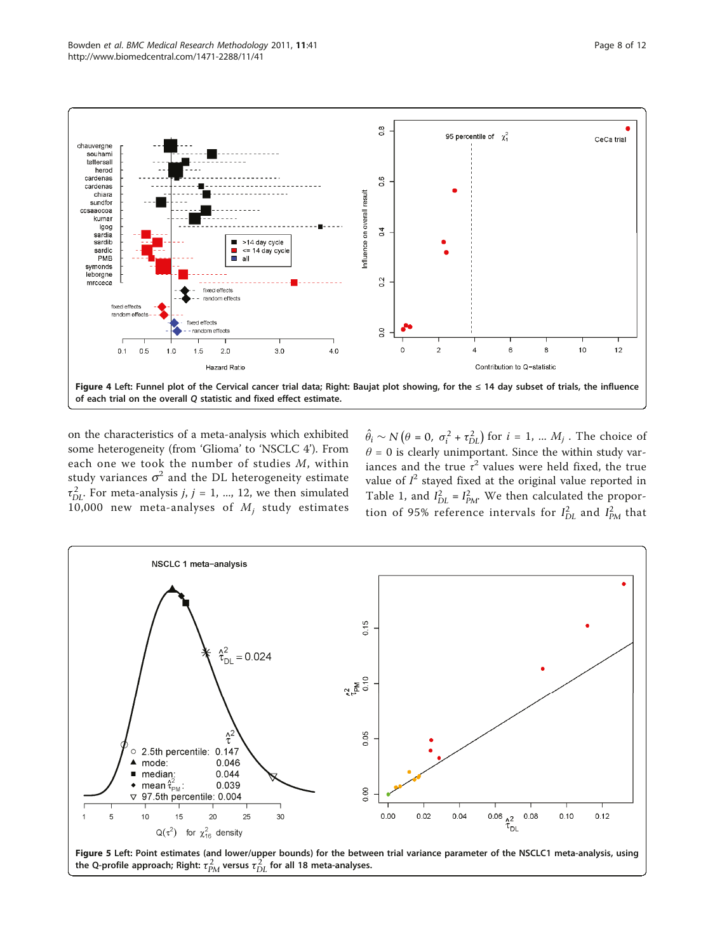<span id="page-7-0"></span>

on the characteristics of a meta-analysis which exhibited some heterogeneity (from 'Glioma' to 'NSCLC 4'). From each one we took the number of studies M, within study variances  $\sigma^2$  and the DL heterogeneity estimate  $\tau_{DL}^2$ . For meta-analysis *j*, *j* = 1, ..., 12, we then simulated 10,000 new meta-analyses of  $M_i$  study estimates

 $\hat{\theta}_i \sim N(\theta = 0, \sigma_i^2 + \tau_{DL}^2)$  for  $i = 1, ..., M_j$ . The choice of  $\theta = 0$  is clearly unimportant. Since the within study variances and the true  $\tau^2$  values were held fixed, the true value of  $I^2$  stayed fixed at the original value reported in Table [1,](#page-1-0) and  $I_{DL}^2 = I_{PM}^2$ . We then calculated the proportion of 95% reference intervals for  $I_{DL}^2$  and  $I_{PM}^2$  that



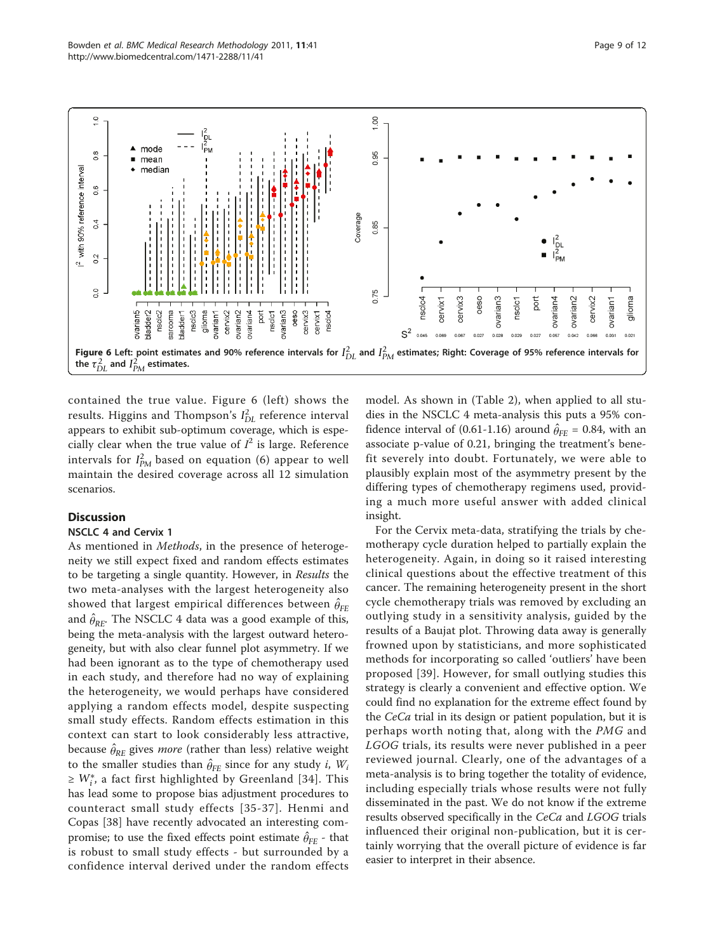<span id="page-8-0"></span>

contained the true value. Figure 6 (left) shows the results. Higgins and Thompson's  $I_{DL}^2$  reference interval appears to exhibit sub-optimum coverage, which is especially clear when the true value of  $I^2$  is large. Reference intervals for  $I_{PM}^2$  based on equation (6) appear to well maintain the desired coverage across all 12 simulation scenarios.

## **Discussion**

## NSCLC 4 and Cervix 1

As mentioned in Methods, in the presence of heterogeneity we still expect fixed and random effects estimates to be targeting a single quantity. However, in Results the two meta-analyses with the largest heterogeneity also showed that largest empirical differences between  $\hat{\theta}_{\texttt{FE}}$ and  $\hat{\theta}_{\textit{RE}}$ . The NSCLC 4 data was a good example of this, being the meta-analysis with the largest outward heterogeneity, but with also clear funnel plot asymmetry. If we had been ignorant as to the type of chemotherapy used in each study, and therefore had no way of explaining the heterogeneity, we would perhaps have considered applying a random effects model, despite suspecting small study effects. Random effects estimation in this context can start to look considerably less attractive, because  $\hat{\theta}_{\text{RE}}$  gives *more* (rather than less) relative weight to the smaller studies than  $\hat{\theta}_{FE}$  since for any study *i*,  $W_i$ ≥  $W_i^*$ , a fact first highlighted by Greenland [[34](#page-11-0)]. This has lead some to propose bias adjustment procedures to counteract small study effects [\[35](#page-11-0)-[37](#page-11-0)]. Henmi and Copas [[38\]](#page-11-0) have recently advocated an interesting compromise; to use the fixed effects point estimate  $\hat{\theta}_{\text{FE}}$  - that is robust to small study effects - but surrounded by a confidence interval derived under the random effects

model. As shown in (Table [2](#page-6-0)), when applied to all studies in the NSCLC 4 meta-analysis this puts a 95% confidence interval of  $(0.61-1.16)$  around  $\hat{\theta}_{FE} = 0.84$ , with an associate p-value of 0.21, bringing the treatment's benefit severely into doubt. Fortunately, we were able to plausibly explain most of the asymmetry present by the differing types of chemotherapy regimens used, providing a much more useful answer with added clinical insight.

For the Cervix meta-data, stratifying the trials by chemotherapy cycle duration helped to partially explain the heterogeneity. Again, in doing so it raised interesting clinical questions about the effective treatment of this cancer. The remaining heterogeneity present in the short cycle chemotherapy trials was removed by excluding an outlying study in a sensitivity analysis, guided by the results of a Baujat plot. Throwing data away is generally frowned upon by statisticians, and more sophisticated methods for incorporating so called 'outliers' have been proposed [\[39\]](#page-11-0). However, for small outlying studies this strategy is clearly a convenient and effective option. We could find no explanation for the extreme effect found by the CeCa trial in its design or patient population, but it is perhaps worth noting that, along with the PMG and LGOG trials, its results were never published in a peer reviewed journal. Clearly, one of the advantages of a meta-analysis is to bring together the totality of evidence, including especially trials whose results were not fully disseminated in the past. We do not know if the extreme results observed specifically in the CeCa and LGOG trials influenced their original non-publication, but it is certainly worrying that the overall picture of evidence is far easier to interpret in their absence.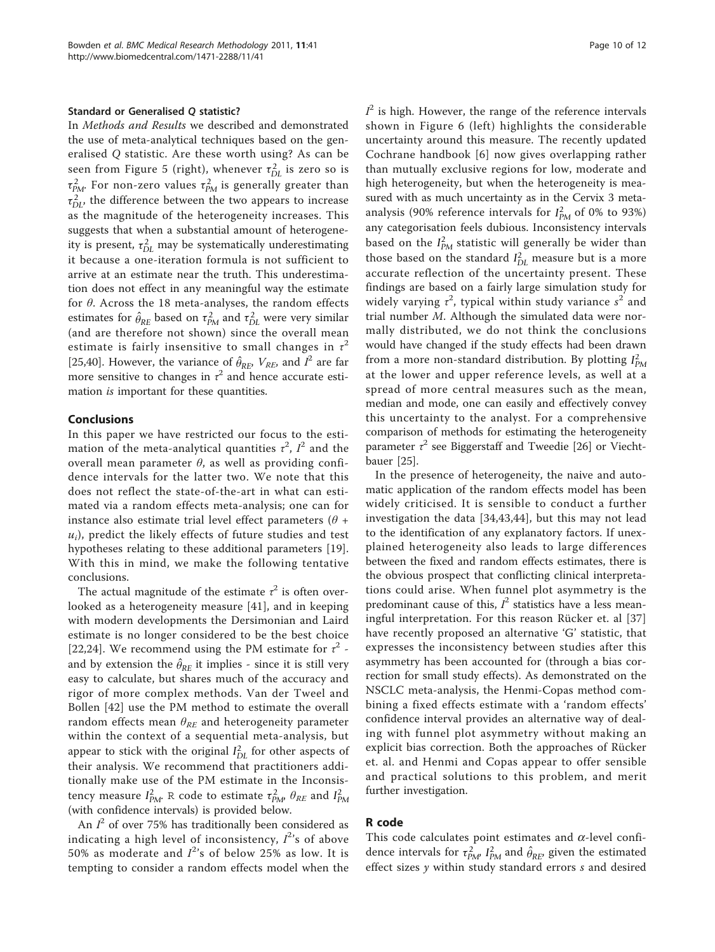## Standard or Generalised O statistic?

In Methods and Results we described and demonstrated the use of meta-analytical techniques based on the generalised Q statistic. Are these worth using? As can be seen from Figure [5](#page-7-0) (right), whenever  $\tau_{DL}^2$  is zero so is  $\tau_{PM}^2$ . For non-zero values  $\tau_{PM}^2$  is generally greater than  $\tau_{DL}^2$ , the difference between the two appears to increase as the magnitude of the heterogeneity increases. This suggests that when a substantial amount of heterogeneity is present,  $\tau_{DL}^2$  may be systematically underestimating it because a one-iteration formula is not sufficient to arrive at an estimate near the truth. This underestimation does not effect in any meaningful way the estimate for  $\theta$ . Across the 18 meta-analyses, the random effects estimates for  $\hat{\theta}_{RE}$  based on  $\tau_{PM}^2$  and  $\tau_{DL}^2$  were very similar (and are therefore not shown) since the overall mean estimate is fairly insensitive to small changes in  $\tau^2$ [[25,40\]](#page-11-0). However, the variance of  $\hat{\theta}_{RE}$ ,  $V_{RE}$ , and  $I^2$  are far more sensitive to changes in  $\tau^2$  and hence accurate estimation is important for these quantities.

## Conclusions

In this paper we have restricted our focus to the estimation of the meta-analytical quantities  $\tau^2$ ,  $I^2$  and the overall mean parameter θ, as well as providing confidence intervals for the latter two. We note that this does not reflect the state-of-the-art in what can estimated via a random effects meta-analysis; one can for instance also estimate trial level effect parameters  $(\theta +$  $u_i$ ), predict the likely effects of future studies and test hypotheses relating to these additional parameters [\[19](#page-10-0)]. With this in mind, we make the following tentative conclusions.

The actual magnitude of the estimate  $\tau^2$  is often overlooked as a heterogeneity measure [[41](#page-11-0)], and in keeping with modern developments the Dersimonian and Laird estimate is no longer considered to be the best choice [[22,24](#page-11-0)]. We recommend using the PM estimate for  $\tau^2$  and by extension the  $\hat{\theta}_{RE}$  it implies - since it is still very easy to calculate, but shares much of the accuracy and rigor of more complex methods. Van der Tweel and Bollen [[42](#page-11-0)] use the PM method to estimate the overall random effects mean  $\theta_{RE}$  and heterogeneity parameter within the context of a sequential meta-analysis, but appear to stick with the original  $I_{DL}^2$  for other aspects of their analysis. We recommend that practitioners additionally make use of the PM estimate in the Inconsistency measure  $I_{PM}^2$ . R code to estimate  $\tau_{PM'}^2$   $\theta_{RE}$  and  $I_{PM}^2$ (with confidence intervals) is provided below.

An  $I^2$  of over 75% has traditionally been considered as indicating a high level of inconsistency,  $I^{2}$ 's of above 50% as moderate and  $I^{2}$ 's of below 25% as low. It is tempting to consider a random effects model when the

 $I^2$  is high. However, the range of the reference intervals shown in Figure [6](#page-8-0) (left) highlights the considerable uncertainty around this measure. The recently updated Cochrane handbook [[6\]](#page-10-0) now gives overlapping rather than mutually exclusive regions for low, moderate and high heterogeneity, but when the heterogeneity is measured with as much uncertainty as in the Cervix 3 metaanalysis (90% reference intervals for  $I_{PM}^2$  of 0% to 93%) any categorisation feels dubious. Inconsistency intervals based on the  $I_{PM}^2$  statistic will generally be wider than those based on the standard  $I_{DL}^2$  measure but is a more accurate reflection of the uncertainty present. These findings are based on a fairly large simulation study for widely varying  $\tau^2$ , typical within study variance  $s^2$  and trial number  $M$ . Although the simulated data were normally distributed, we do not think the conclusions would have changed if the study effects had been drawn from a more non-standard distribution. By plotting  $I_{PM}^2$ at the lower and upper reference levels, as well at a spread of more central measures such as the mean, median and mode, one can easily and effectively convey this uncertainty to the analyst. For a comprehensive comparison of methods for estimating the heterogeneity parameter  $\tau^2$  see Biggerstaff and Tweedie [\[26](#page-11-0)] or Viechtbauer [[25\]](#page-11-0).

In the presence of heterogeneity, the naive and automatic application of the random effects model has been widely criticised. It is sensible to conduct a further investigation the data [[34,43](#page-11-0),[44\]](#page-11-0), but this may not lead to the identification of any explanatory factors. If unexplained heterogeneity also leads to large differences between the fixed and random effects estimates, there is the obvious prospect that conflicting clinical interpretations could arise. When funnel plot asymmetry is the predominant cause of this,  $I^2$  statistics have a less meaningful interpretation. For this reason Rücker et. al [\[37](#page-11-0)] have recently proposed an alternative 'G' statistic, that expresses the inconsistency between studies after this asymmetry has been accounted for (through a bias correction for small study effects). As demonstrated on the NSCLC meta-analysis, the Henmi-Copas method combining a fixed effects estimate with a 'random effects' confidence interval provides an alternative way of dealing with funnel plot asymmetry without making an explicit bias correction. Both the approaches of Rücker et. al. and Henmi and Copas appear to offer sensible and practical solutions to this problem, and merit further investigation.

#### R code

This code calculates point estimates and  $\alpha$ -level confidence intervals for  $\tau_{PM}^2$ ,  $I_{PM}^2$  and  $\hat{\theta}_{RE}$ , given the estimated effect sizes  $y$  within study standard errors  $s$  and desired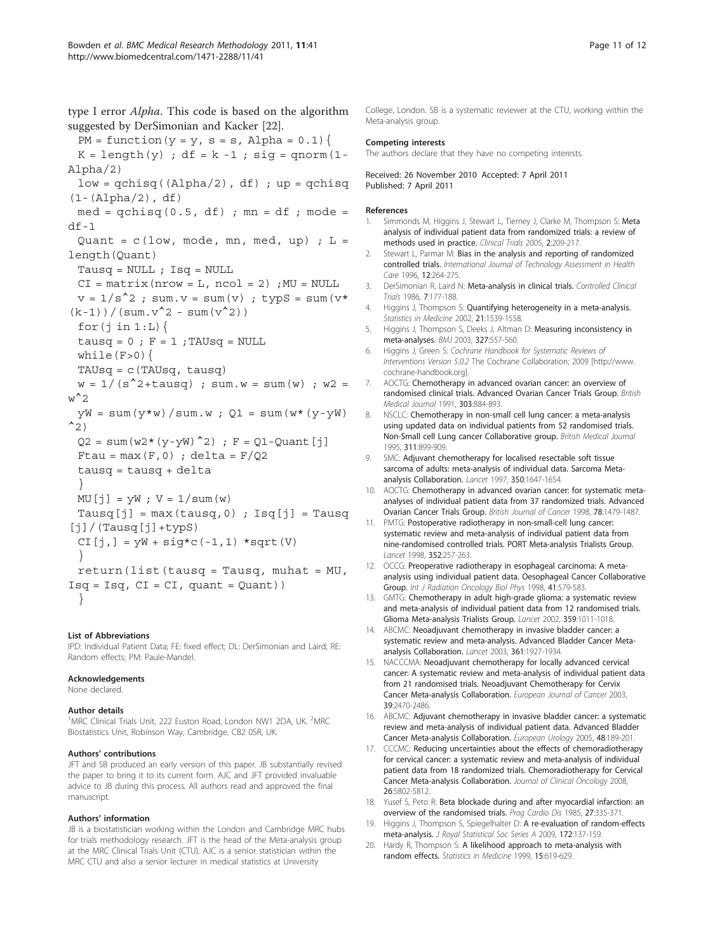<span id="page-10-0"></span>type I error Alpha. This code is based on the algorithm suggested by DerSimonian and Kacker [\[22](#page-11-0)].  $PM = function(y = y, s = s, Alpha = 0.1)$  $K = length(y)$ ; df =  $k - 1$ ; sig = qnorm(1-Alpha/2)  $low = qchisq((Alpha/2), df)$ ; up = qchisq  $(1-(\text{Alpha}/2), df)$  $med = qchisq(0.5, df)$ ;  $mn = df$ ;  $model =$ df-1 Quant =  $c$  (low, mode, mn, med, up) ; L = length(Quant) Tausq = NULL ; Isq = NULL  $CI = matrix(nrow = L, ncol = 2)$ ; MU = NULL  $v = 1/s^2$ ; sum. $v = sum(v)$ ; typS = sum( $v^*$  $(k-1)$  ) / (sum.v^2 - sum(v^2)) for $(i$  in  $1:L$ ) { tausq =  $0$ ;  $F = 1$ ; TAUsq = NULL while $(F>0)$  { TAUsq = c(TAUsq, tausq)  $w = 1/(s^2+tausq)$ ; sum.w = sum(w); w2 =  $\mathbf{w}^2$  $yW = sum(y * w) / sum.w$ ;  $Q1 = sum(w * (y - yW))$  $^2$ 2)  $Q2 = \text{sum}(w2*(y-yW)^2)$ ; F = Q1-Quant[j] Ftau =  $max(F, 0)$ ; delta =  $F/Q2$ tausq = tausq + delta }  $MU[j] = yW$ ;  $V = 1/sum(w)$ Tausq[j] =  $max(tausq,0)$ ;  $Isq[j]$  = Tausq  $[j]/(Tausq[j]+typS)$  $CI[j,] = yW + sig * c(-1, 1) * sqrt(V)$ }  $return (list(tausq = Tausq, muhat = MU,$  $Isq = Isq, CI = CI, quant = Quant)$ }

#### List of Abbreviations

IPD: Individual Patient Data; FE: fixed effect; DL: DerSimonian and Laird; RE: Random effects; PM: Paule-Mandel.

#### Acknowledgements

None declared.

#### Author details

<sup>1</sup>MRC Clinical Trials Unit, 222 Euston Road, London NW1 2DA, UK. <sup>2</sup>MRC Biostatistics Unit, Robinson Way, Cambridge, CB2 0SR, UK.

#### Authors' contributions

JFT and SB produced an early version of this paper. JB substantially revised the paper to bring it to its current form. AJC and JFT provided invaluable advice to JB during this process. All authors read and approved the final manuscript.

#### Authors' information

JB is a biostatistician working within the London and Cambridge MRC hubs for trials methodology research. JFT is the head of the Meta-analysis group at the MRC Clinical Trials Unit (CTU). AJC is a senior statistician within the MRC CTU and also a senior lecturer in medical statistics at University

College, London. SB is a systematic reviewer at the CTU, working within the Meta-analysis group.

#### Competing interests

The authors declare that they have no competing interests.

Received: 26 November 2010 Accepted: 7 April 2011 Published: 7 April 2011

#### References

- 1. Simmonds M, Higgins J, Stewart L, Tierney J, Clarke M, Thompson S: [Meta](http://www.ncbi.nlm.nih.gov/pubmed/16279144?dopt=Abstract) [analysis of individual patient data from randomized trials: a review of](http://www.ncbi.nlm.nih.gov/pubmed/16279144?dopt=Abstract) [methods used in practice.](http://www.ncbi.nlm.nih.gov/pubmed/16279144?dopt=Abstract) Clinical Trials 2005, 2:209-217.
- 2. Stewart L, Parmar M: [Bias in the analysis and reporting of randomized](http://www.ncbi.nlm.nih.gov/pubmed/8707499?dopt=Abstract) [controlled trials.](http://www.ncbi.nlm.nih.gov/pubmed/8707499?dopt=Abstract) International Journal of Technology Assessment in Health Care 1996, 12:264-275.
- 3. DerSimonian R, Laird N: [Meta-analysis in clinical trials.](http://www.ncbi.nlm.nih.gov/pubmed/3802833?dopt=Abstract) Controlled Clinical Trials 1986, 7:177-188.
- 4. Higgins J, Thompson S: [Quantifying heterogeneity in a meta-analysis.](http://www.ncbi.nlm.nih.gov/pubmed/12111919?dopt=Abstract) Statistics in Medicine 2002, 21:1539-1558.
- 5. Higgins J, Thompson S, Deeks J, Altman D: [Measuring inconsistency in](http://www.ncbi.nlm.nih.gov/pubmed/12958120?dopt=Abstract) [meta-analyses.](http://www.ncbi.nlm.nih.gov/pubmed/12958120?dopt=Abstract) BMJ 2003, 327:557-560.
- 6. Higgins J, Green S: Cochrane Handbook for Systematic Reviews of Interventions Version 5.0.2 The Cochrane Collaboration; 2009 [[http://www.](http://www.cochrane-handbook.org) [cochrane-handbook.org\]](http://www.cochrane-handbook.org).
- 7. AOCTG: [Chemotherapy in advanced ovarian cancer: an overview of](http://www.ncbi.nlm.nih.gov/pubmed/1834291?dopt=Abstract) [randomised clinical trials. Advanced Ovarian Cancer Trials Group.](http://www.ncbi.nlm.nih.gov/pubmed/1834291?dopt=Abstract) British Medical Journal 1991, 303:884-893.
- 8. NSCLC: [Chemotherapy in non-small cell lung cancer: a meta-analysis](http://www.ncbi.nlm.nih.gov/pubmed/7580546?dopt=Abstract) [using updated data on individual patients from 52 randomised trials.](http://www.ncbi.nlm.nih.gov/pubmed/7580546?dopt=Abstract) [Non-Small cell Lung cancer Collaborative group.](http://www.ncbi.nlm.nih.gov/pubmed/7580546?dopt=Abstract) British Medical Journal 1995, 311:899-909.
- 9. SMC: [Adjuvant chemotherapy for localised resectable soft tissue](http://www.ncbi.nlm.nih.gov/pubmed/9400508?dopt=Abstract) [sarcoma of adults: meta-analysis of individual data. Sarcoma Meta](http://www.ncbi.nlm.nih.gov/pubmed/9400508?dopt=Abstract)[analysis Collaboration.](http://www.ncbi.nlm.nih.gov/pubmed/9400508?dopt=Abstract) Lancet 1997, 350:1647-1654.
- 10. AOCTG: [Chemotherapy in advanced ovarian cancer: for systematic meta](http://www.ncbi.nlm.nih.gov/pubmed/9836481?dopt=Abstract)[analyses of individual patient data from 37 randomized trials. Advanced](http://www.ncbi.nlm.nih.gov/pubmed/9836481?dopt=Abstract) [Ovarian Cancer Trials Group.](http://www.ncbi.nlm.nih.gov/pubmed/9836481?dopt=Abstract) British Journal of Cancer 1998, 78:1479-1487.
- 11. PMTG: [Postoperative radiotherapy in non-small-cell lung cancer:](http://www.ncbi.nlm.nih.gov/pubmed/9690404?dopt=Abstract) [systematic review and meta-analysis of individual patient data from](http://www.ncbi.nlm.nih.gov/pubmed/9690404?dopt=Abstract) [nine-randomised controlled trials. PORT Meta-analysis Trialists Group.](http://www.ncbi.nlm.nih.gov/pubmed/9690404?dopt=Abstract) Lancet 1998, 352:257-263.
- 12. OCCG: Preoperative radiotherapy in esophageal carcinoma: A metaanalysis using individual patient data. Oesophageal Cancer Collaborative Group. Int J Radiation Oncology Biol Phys 1998, 41:579-583.
- 13. GMTG: [Chemotherapy in adult high-grade glioma: a systematic review](http://www.ncbi.nlm.nih.gov/pubmed/11937180?dopt=Abstract) [and meta-analysis of individual patient data from 12 randomised trials.](http://www.ncbi.nlm.nih.gov/pubmed/11937180?dopt=Abstract) [Glioma Meta-analysis Trialists Group.](http://www.ncbi.nlm.nih.gov/pubmed/11937180?dopt=Abstract) Lancet 2002, 359:1011-1018.
- 14. ABCMC: [Neoadjuvant chemotherapy in invasive bladder cancer: a](http://www.ncbi.nlm.nih.gov/pubmed/12801735?dopt=Abstract) [systematic review and meta-analysis. Advanced Bladder Cancer Meta](http://www.ncbi.nlm.nih.gov/pubmed/12801735?dopt=Abstract)[analysis Collaboration.](http://www.ncbi.nlm.nih.gov/pubmed/12801735?dopt=Abstract) Lancet 2003, 361:1927-1934.
- 15. NACCCMA: [Neoadjuvant chemotherapy for locally advanced cervical](http://www.ncbi.nlm.nih.gov/pubmed/14602133?dopt=Abstract) [cancer: A systematic review and meta-analysis of individual patient data](http://www.ncbi.nlm.nih.gov/pubmed/14602133?dopt=Abstract) from [21 randomised trials. Neoadjuvant Chemotherapy for Cervix](http://www.ncbi.nlm.nih.gov/pubmed/14602133?dopt=Abstract) [Cancer Meta-analysis Collaboration.](http://www.ncbi.nlm.nih.gov/pubmed/14602133?dopt=Abstract) European Journal of Cancer 2003, 39:2470-2486.
- 16. ABCMC: [Adjuvant chemotherapy in invasive bladder cancer: a systematic](http://www.ncbi.nlm.nih.gov/pubmed/15939530?dopt=Abstract) [review and meta-analysis of individual patient data. Advanced Bladder](http://www.ncbi.nlm.nih.gov/pubmed/15939530?dopt=Abstract) [Cancer Meta-analysis Collaboration.](http://www.ncbi.nlm.nih.gov/pubmed/15939530?dopt=Abstract) European Urology 2005, 48:189-201.
- 17. CCCMC: [Reducing uncertainties about the effects of chemoradiotherapy](http://www.ncbi.nlm.nih.gov/pubmed/19001332?dopt=Abstract) [for cervical cancer: a systematic review and meta-analysis of individual](http://www.ncbi.nlm.nih.gov/pubmed/19001332?dopt=Abstract) [patient data from 18 randomized trials. Chemoradiotherapy for Cervical](http://www.ncbi.nlm.nih.gov/pubmed/19001332?dopt=Abstract) [Cancer Meta-analysis Collaboration.](http://www.ncbi.nlm.nih.gov/pubmed/19001332?dopt=Abstract) Journal of Clinical Oncology 2008, 26:5802-5812.
- 18. Yusef S, Peto R: Beta blockade during and after myocardial infarction: an overview of the randomised trials. Prog Cardio Dis 1985, 27:335-371.
- 19. Higgins J, Thompson S, Spiegelhalter D: A re-evaluation of random-effects meta-analysis. J Royal Statistical Soc Series A 2009, 172:137-159.
- 20. Hardy R, Thompson S: A likelihood approach to meta-analysis with random effects. Statistics in Medicine 1999, 15:619-629.